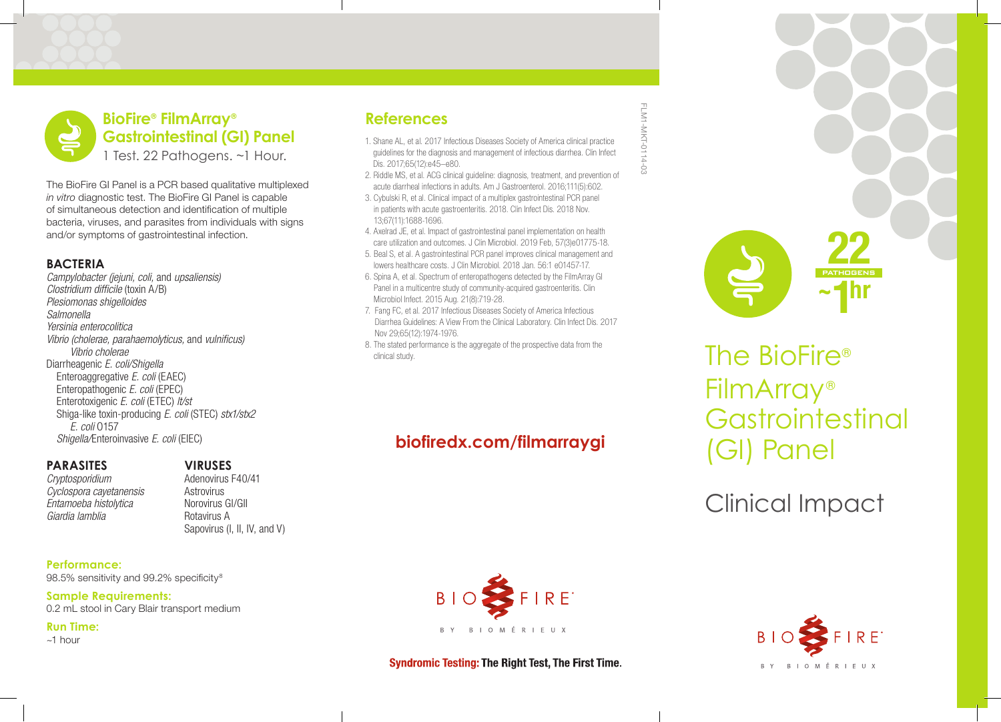# **BioFire® FilmArray® Gastrointestinal (GI) Panel** 1 Test. 22 Pathogens. ~1 Hour.

The BioFire GI Panel is a PCR based qualitative multiplexed *in vitro* diagnostic test. The BioFire GI Panel is capable of simultaneous detection and identifcation of multiple bacteria, viruses, and parasites from individuals with signs and/or symptoms of gastrointestinal infection.

### **BACTERIA**

*Campylobacter (jejuni, coli,* and *upsaliensis) Clostridium dif*f*cile* (toxin A/B) *Plesiomonas shigelloides Salmonella Yersinia enterocolitica Vibrio (cholerae, parahaemolyticus,* and *vulni*f*cus) Vibrio cholerae* Diarrheagenic *E. coli/Shigella*  Enteroaggregative *E. coli* (EAEC) Enteropathogenic *E. coli* (EPEC) Enterotoxigenic *E. coli* (ETEC) *lt/st*  Shiga-like toxin-producing *E. coli* (STEC) *stx1/stx2 E. coli* O157 *Shigella/*Enteroinvasive *E. coli* (EIEC)

#### **PARASITES** *Cryptosporidium*

*Cyclospora cayetanensis Entamoeba histolytica Giardia lamblia*

## **VIRUSES**

Adenovirus F40/41 **Astrovirus** Norovirus GI/GII Rotavirus A Sapovirus (I, II, IV, and V)

**Performance:** 98.5% sensitivity and 99.2% specificity $8$ 

**Sample Requirements:** 0.2 mL stool in Cary Blair transport medium

**Run Time:**

~1 hour

# **References**

- 1. Shane AL, et al. 2017 Infectious Diseases Society of America clinical practice guidelines for the diagnosis and management of infectious diarrhea. Clin Infect Dis. 2017;65(12):e45–e80.
- 2. Riddle MS, et al. ACG clinical guideline: diagnosis, treatment, and prevention of acute diarrheal infections in adults. Am J Gastroenterol. 2016;111(5):602.
- 3. Cybulski R, et al. Clinical impact of a multiplex gastrointestinal PCR panel in patients with acute gastroenteritis. 2018. Clin Infect Dis. 2018 Nov. 13;67(11):1688-1696.
- 4. Axelrad JE, et al. Impact of gastrointestinal panel implementation on health care utilization and outcomes. J Clin Microbiol. 2019 Feb, 57(3)e01775-18.
- 5. Beal S, et al. A gastrointestinal PCR panel improves clinical management and lowers healthcare costs. J Clin Microbiol. 2018 Jan. 56:1 e01457-17.
- 6. Spina A, et al. Spectrum of enteropathogens detected by the FilmArray GI Panel in a multicentre study of community-acquired gastroenteritis. Clin Microbiol Infect. 2015 Aug. 21(8):719-28.
- 7. Fang FC, et al. 2017 Infectious Diseases Society of America Infectious Diarrhea Guidelines: A View From the Clinical Laboratory. Clin Infect Dis. 2017 Nov 29;65(12):1974-1976.
- 8. The stated performance is the aggregate of the prospective data from the  $\overline{\Gamma}$  clinical study.

# **biofiredx.com/filmarraygi**







FilmArray® **Gastrointestinal** (GI) Panel

Clinical Impact

### **Syndromic Testing: The Right Test, The First Time.**